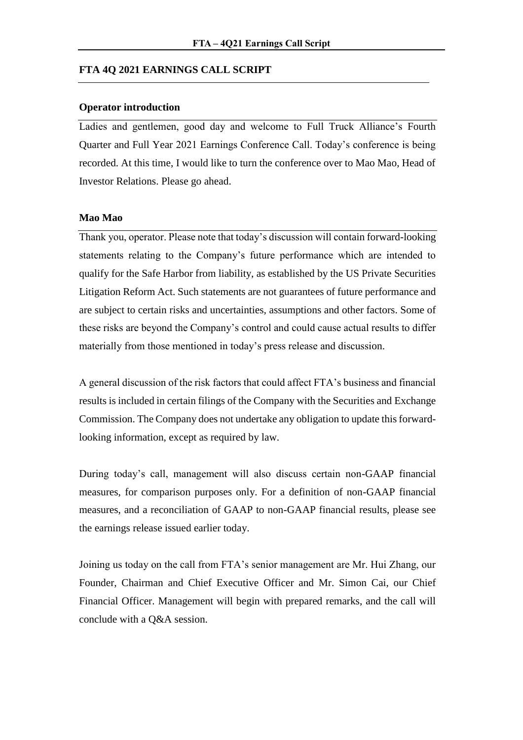### **FTA 4Q 2021 EARNINGS CALL SCRIPT**

### **Operator introduction**

Ladies and gentlemen, good day and welcome to Full Truck Alliance's Fourth Quarter and Full Year 2021 Earnings Conference Call. Today's conference is being recorded. At this time, I would like to turn the conference over to Mao Mao, Head of Investor Relations. Please go ahead.

## **Mao Mao**

Thank you, operator. Please note that today's discussion will contain forward-looking statements relating to the Company's future performance which are intended to qualify for the Safe Harbor from liability, as established by the US Private Securities Litigation Reform Act. Such statements are not guarantees of future performance and are subject to certain risks and uncertainties, assumptions and other factors. Some of these risks are beyond the Company's control and could cause actual results to differ materially from those mentioned in today's press release and discussion.

A general discussion of the risk factors that could affect FTA's business and financial results is included in certain filings of the Company with the Securities and Exchange Commission. The Company does not undertake any obligation to update this forwardlooking information, except as required by law.

During today's call, management will also discuss certain non-GAAP financial measures, for comparison purposes only. For a definition of non-GAAP financial measures, and a reconciliation of GAAP to non-GAAP financial results, please see the earnings release issued earlier today.

Joining us today on the call from FTA's senior management are Mr. Hui Zhang, our Founder, Chairman and Chief Executive Officer and Mr. Simon Cai, our Chief Financial Officer. Management will begin with prepared remarks, and the call will conclude with a Q&A session.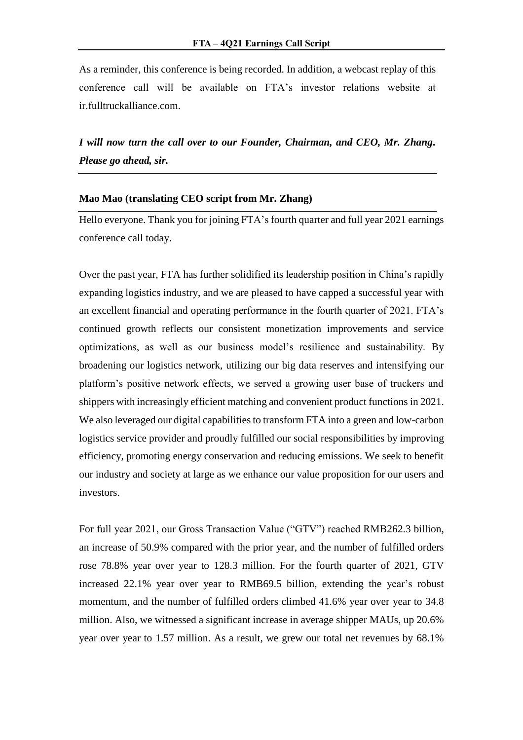As a reminder, this conference is being recorded. In addition, a webcast replay of this conference call will be available on FTA's investor relations website at ir.fulltruckalliance.com.

*I will now turn the call over to our Founder, Chairman, and CEO, Mr. Zhang. Please go ahead, sir.* 

## **Mao Mao (translating CEO script from Mr. Zhang)**

Hello everyone. Thank you for joining FTA's fourth quarter and full year 2021 earnings conference call today.

Over the past year, FTA has further solidified its leadership position in China's rapidly expanding logistics industry, and we are pleased to have capped a successful year with an excellent financial and operating performance in the fourth quarter of 2021. FTA's continued growth reflects our consistent monetization improvements and service optimizations, as well as our business model's resilience and sustainability. By broadening our logistics network, utilizing our big data reserves and intensifying our platform's positive network effects, we served a growing user base of truckers and shippers with increasingly efficient matching and convenient product functions in 2021. We also leveraged our digital capabilities to transform FTA into a green and low-carbon logistics service provider and proudly fulfilled our social responsibilities by improving efficiency, promoting energy conservation and reducing emissions. We seek to benefit our industry and society at large as we enhance our value proposition for our users and investors.

For full year 2021, our Gross Transaction Value ("GTV") reached RMB262.3 billion, an increase of 50.9% compared with the prior year, and the number of fulfilled orders rose 78.8% year over year to 128.3 million. For the fourth quarter of 2021, GTV increased 22.1% year over year to RMB69.5 billion, extending the year's robust momentum, and the number of fulfilled orders climbed 41.6% year over year to 34.8 million. Also, we witnessed a significant increase in average shipper MAUs, up 20.6% year over year to 1.57 million. As a result, we grew our total net revenues by 68.1%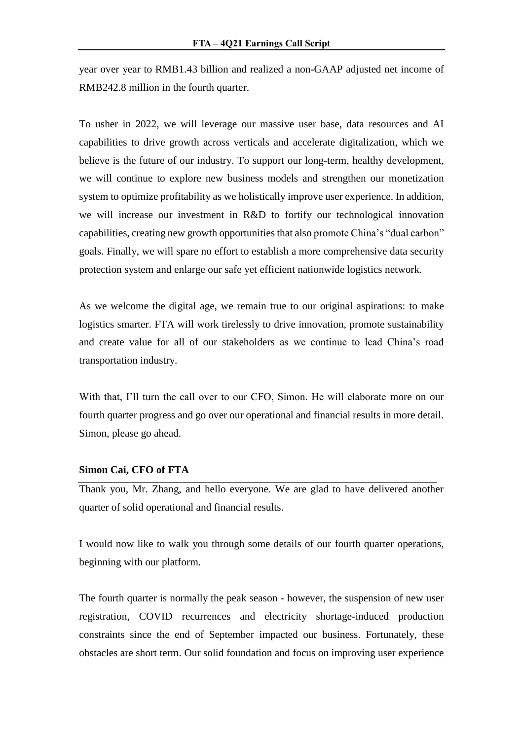year over year to RMB1.43 billion and realized a non-GAAP adjusted net income of RMB242.8 million in the fourth quarter.

To usher in 2022, we will leverage our massive user base, data resources and AI capabilities to drive growth across verticals and accelerate digitalization, which we believe is the future of our industry. To support our long-term, healthy development, we will continue to explore new business models and strengthen our monetization system to optimize profitability as we holistically improve user experience. In addition, we will increase our investment in R&D to fortify our technological innovation capabilities, creating new growth opportunities that also promote China's "dual carbon" goals. Finally, we will spare no effort to establish a more comprehensive data security protection system and enlarge our safe yet efficient nationwide logistics network.

As we welcome the digital age, we remain true to our original aspirations: to make logistics smarter. FTA will work tirelessly to drive innovation, promote sustainability and create value for all of our stakeholders as we continue to lead China's road transportation industry.

With that, I'll turn the call over to our CFO, Simon. He will elaborate more on our fourth quarter progress and go over our operational and financial results in more detail. Simon, please go ahead.

# **Simon Cai, CFO of FTA**

Thank you, Mr. Zhang, and hello everyone. We are glad to have delivered another quarter of solid operational and financial results.

I would now like to walk you through some details of our fourth quarter operations, beginning with our platform.

The fourth quarter is normally the peak season - however, the suspension of new user registration, COVID recurrences and electricity shortage-induced production constraints since the end of September impacted our business. Fortunately, these obstacles are short term. Our solid foundation and focus on improving user experience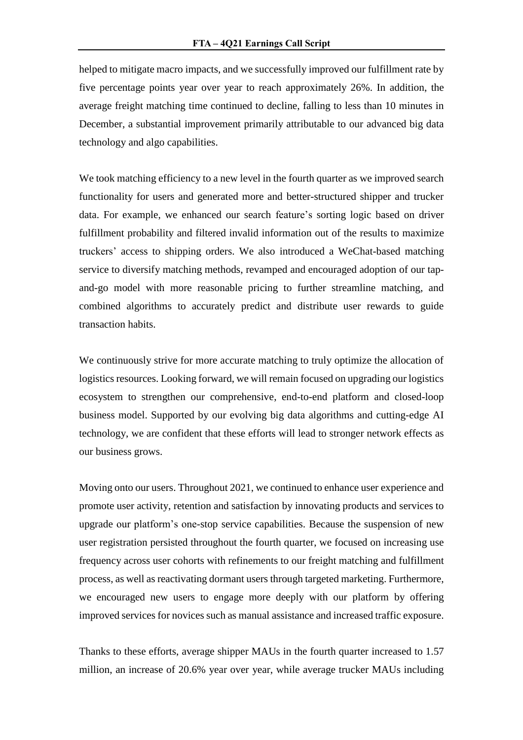helped to mitigate macro impacts, and we successfully improved our fulfillment rate by five percentage points year over year to reach approximately 26%. In addition, the average freight matching time continued to decline, falling to less than 10 minutes in December, a substantial improvement primarily attributable to our advanced big data technology and algo capabilities.

We took matching efficiency to a new level in the fourth quarter as we improved search functionality for users and generated more and better-structured shipper and trucker data. For example, we enhanced our search feature's sorting logic based on driver fulfillment probability and filtered invalid information out of the results to maximize truckers' access to shipping orders. We also introduced a WeChat-based matching service to diversify matching methods, revamped and encouraged adoption of our tapand-go model with more reasonable pricing to further streamline matching, and combined algorithms to accurately predict and distribute user rewards to guide transaction habits.

We continuously strive for more accurate matching to truly optimize the allocation of logistics resources. Looking forward, we will remain focused on upgrading our logistics ecosystem to strengthen our comprehensive, end-to-end platform and closed-loop business model. Supported by our evolving big data algorithms and cutting-edge AI technology, we are confident that these efforts will lead to stronger network effects as our business grows.

Moving onto our users. Throughout 2021, we continued to enhance user experience and promote user activity, retention and satisfaction by innovating products and services to upgrade our platform's one-stop service capabilities. Because the suspension of new user registration persisted throughout the fourth quarter, we focused on increasing use frequency across user cohorts with refinements to our freight matching and fulfillment process, as well as reactivating dormant users through targeted marketing. Furthermore, we encouraged new users to engage more deeply with our platform by offering improved services for novices such as manual assistance and increased traffic exposure.

Thanks to these efforts, average shipper MAUs in the fourth quarter increased to 1.57 million, an increase of 20.6% year over year, while average trucker MAUs including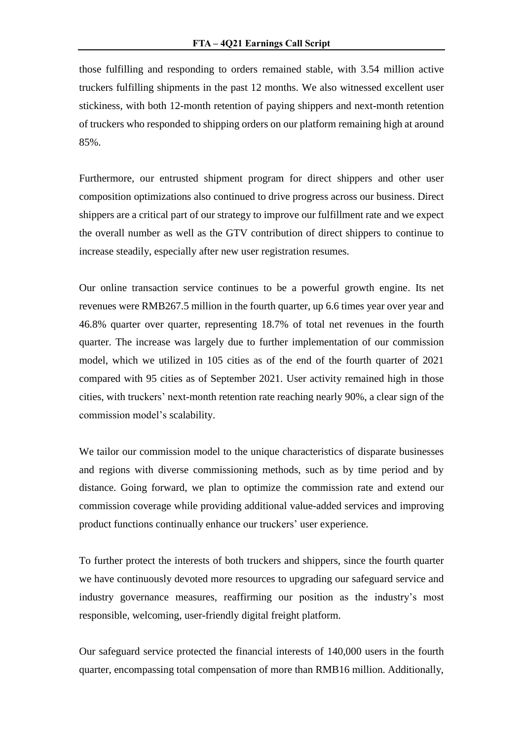those fulfilling and responding to orders remained stable, with 3.54 million active truckers fulfilling shipments in the past 12 months. We also witnessed excellent user stickiness, with both 12-month retention of paying shippers and next-month retention of truckers who responded to shipping orders on our platform remaining high at around 85%.

Furthermore, our entrusted shipment program for direct shippers and other user composition optimizations also continued to drive progress across our business. Direct shippers are a critical part of our strategy to improve our fulfillment rate and we expect the overall number as well as the GTV contribution of direct shippers to continue to increase steadily, especially after new user registration resumes.

Our online transaction service continues to be a powerful growth engine. Its net revenues were RMB267.5 million in the fourth quarter, up 6.6 times year over year and 46.8% quarter over quarter, representing 18.7% of total net revenues in the fourth quarter. The increase was largely due to further implementation of our commission model, which we utilized in 105 cities as of the end of the fourth quarter of 2021 compared with 95 cities as of September 2021. User activity remained high in those cities, with truckers' next-month retention rate reaching nearly 90%, a clear sign of the commission model's scalability.

We tailor our commission model to the unique characteristics of disparate businesses and regions with diverse commissioning methods, such as by time period and by distance. Going forward, we plan to optimize the commission rate and extend our commission coverage while providing additional value-added services and improving product functions continually enhance our truckers' user experience.

To further protect the interests of both truckers and shippers, since the fourth quarter we have continuously devoted more resources to upgrading our safeguard service and industry governance measures, reaffirming our position as the industry's most responsible, welcoming, user-friendly digital freight platform.

Our safeguard service protected the financial interests of 140,000 users in the fourth quarter, encompassing total compensation of more than RMB16 million. Additionally,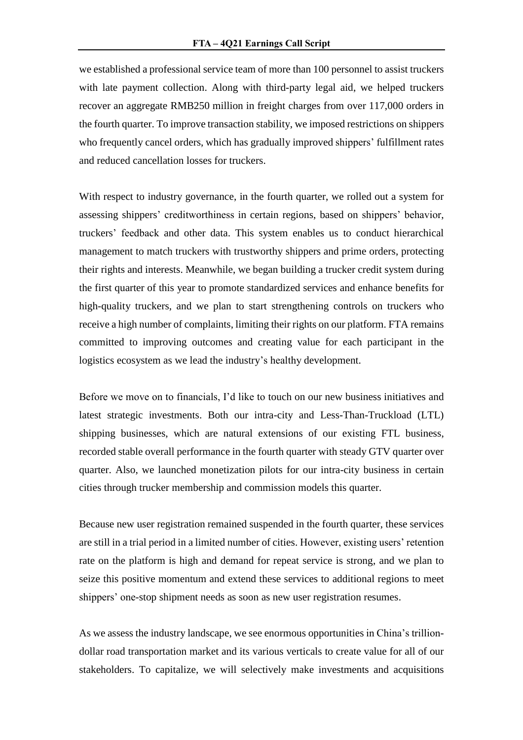we established a professional service team of more than 100 personnel to assist truckers with late payment collection. Along with third-party legal aid, we helped truckers recover an aggregate RMB250 million in freight charges from over 117,000 orders in the fourth quarter. To improve transaction stability, we imposed restrictions on shippers who frequently cancel orders, which has gradually improved shippers' fulfillment rates and reduced cancellation losses for truckers.

With respect to industry governance, in the fourth quarter, we rolled out a system for assessing shippers' creditworthiness in certain regions, based on shippers' behavior, truckers' feedback and other data. This system enables us to conduct hierarchical management to match truckers with trustworthy shippers and prime orders, protecting their rights and interests. Meanwhile, we began building a trucker credit system during the first quarter of this year to promote standardized services and enhance benefits for high-quality truckers, and we plan to start strengthening controls on truckers who receive a high number of complaints, limiting their rights on our platform. FTA remains committed to improving outcomes and creating value for each participant in the logistics ecosystem as we lead the industry's healthy development.

Before we move on to financials, I'd like to touch on our new business initiatives and latest strategic investments. Both our intra-city and Less-Than-Truckload (LTL) shipping businesses, which are natural extensions of our existing FTL business, recorded stable overall performance in the fourth quarter with steady GTV quarter over quarter. Also, we launched monetization pilots for our intra-city business in certain cities through trucker membership and commission models this quarter.

Because new user registration remained suspended in the fourth quarter, these services are still in a trial period in a limited number of cities. However, existing users' retention rate on the platform is high and demand for repeat service is strong, and we plan to seize this positive momentum and extend these services to additional regions to meet shippers' one-stop shipment needs as soon as new user registration resumes.

As we assess the industry landscape, we see enormous opportunities in China's trilliondollar road transportation market and its various verticals to create value for all of our stakeholders. To capitalize, we will selectively make investments and acquisitions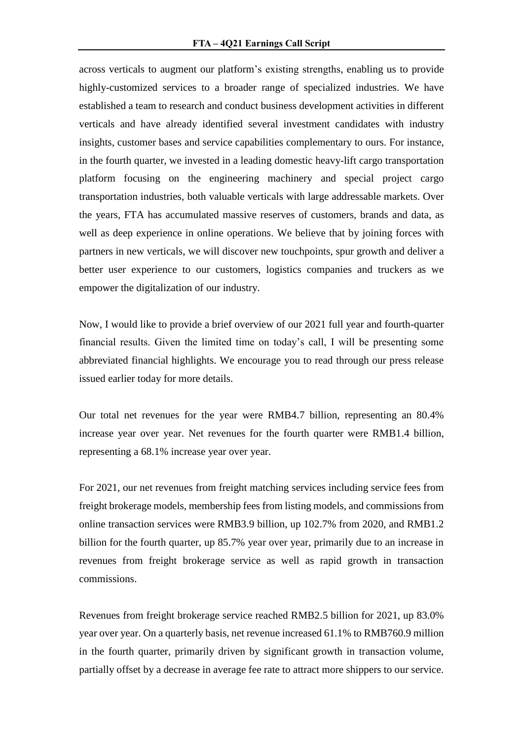across verticals to augment our platform's existing strengths, enabling us to provide highly-customized services to a broader range of specialized industries. We have established a team to research and conduct business development activities in different verticals and have already identified several investment candidates with industry insights, customer bases and service capabilities complementary to ours. For instance, in the fourth quarter, we invested in a leading domestic heavy-lift cargo transportation platform focusing on the engineering machinery and special project cargo transportation industries, both valuable verticals with large addressable markets. Over the years, FTA has accumulated massive reserves of customers, brands and data, as well as deep experience in online operations. We believe that by joining forces with partners in new verticals, we will discover new touchpoints, spur growth and deliver a better user experience to our customers, logistics companies and truckers as we empower the digitalization of our industry.

Now, I would like to provide a brief overview of our 2021 full year and fourth-quarter financial results. Given the limited time on today's call, I will be presenting some abbreviated financial highlights. We encourage you to read through our press release issued earlier today for more details.

Our total net revenues for the year were RMB4.7 billion, representing an 80.4% increase year over year. Net revenues for the fourth quarter were RMB1.4 billion, representing a 68.1% increase year over year.

For 2021, our net revenues from freight matching services including service fees from freight brokerage models, membership fees from listing models, and commissions from online transaction services were RMB3.9 billion, up 102.7% from 2020, and RMB1.2 billion for the fourth quarter, up 85.7% year over year, primarily due to an increase in revenues from freight brokerage service as well as rapid growth in transaction commissions.

Revenues from freight brokerage service reached RMB2.5 billion for 2021, up 83.0% year over year. On a quarterly basis, net revenue increased 61.1% to RMB760.9 million in the fourth quarter, primarily driven by significant growth in transaction volume, partially offset by a decrease in average fee rate to attract more shippers to our service.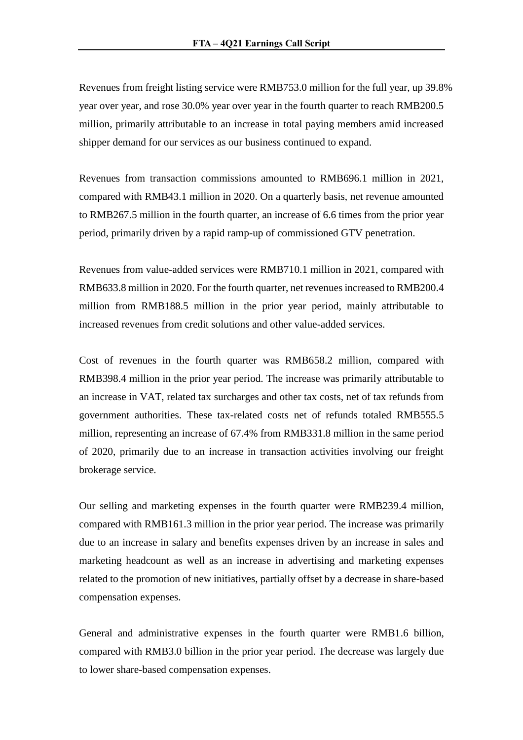Revenues from freight listing service were RMB753.0 million for the full year, up 39.8% year over year, and rose 30.0% year over year in the fourth quarter to reach RMB200.5 million, primarily attributable to an increase in total paying members amid increased shipper demand for our services as our business continued to expand.

Revenues from transaction commissions amounted to RMB696.1 million in 2021, compared with RMB43.1 million in 2020. On a quarterly basis, net revenue amounted to RMB267.5 million in the fourth quarter, an increase of 6.6 times from the prior year period, primarily driven by a rapid ramp-up of commissioned GTV penetration.

Revenues from value-added services were RMB710.1 million in 2021, compared with RMB633.8 million in 2020. For the fourth quarter, net revenues increased to RMB200.4 million from RMB188.5 million in the prior year period, mainly attributable to increased revenues from credit solutions and other value-added services.

Cost of revenues in the fourth quarter was RMB658.2 million, compared with RMB398.4 million in the prior year period. The increase was primarily attributable to an increase in VAT, related tax surcharges and other tax costs, net of tax refunds from government authorities. These tax-related costs net of refunds totaled RMB555.5 million, representing an increase of 67.4% from RMB331.8 million in the same period of 2020, primarily due to an increase in transaction activities involving our freight brokerage service.

Our selling and marketing expenses in the fourth quarter were RMB239.4 million, compared with RMB161.3 million in the prior year period. The increase was primarily due to an increase in salary and benefits expenses driven by an increase in sales and marketing headcount as well as an increase in advertising and marketing expenses related to the promotion of new initiatives, partially offset by a decrease in share-based compensation expenses.

General and administrative expenses in the fourth quarter were RMB1.6 billion, compared with RMB3.0 billion in the prior year period. The decrease was largely due to lower share-based compensation expenses.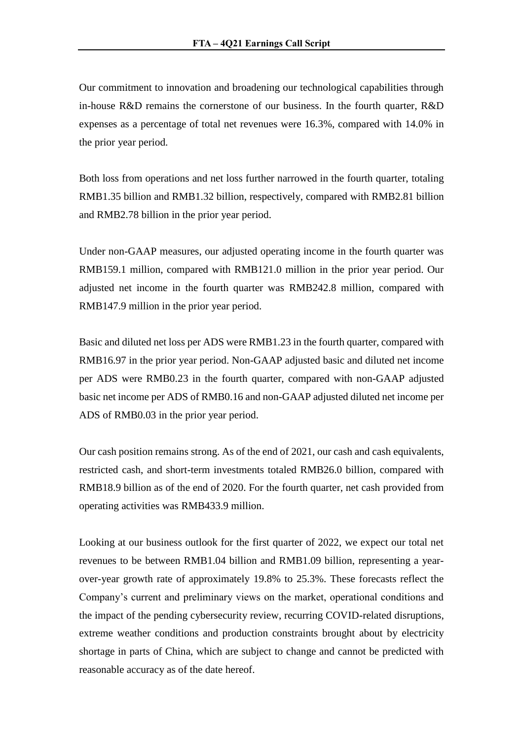Our commitment to innovation and broadening our technological capabilities through in-house R&D remains the cornerstone of our business. In the fourth quarter, R&D expenses as a percentage of total net revenues were 16.3%, compared with 14.0% in the prior year period.

Both loss from operations and net loss further narrowed in the fourth quarter, totaling RMB1.35 billion and RMB1.32 billion, respectively, compared with RMB2.81 billion and RMB2.78 billion in the prior year period.

Under non-GAAP measures, our adjusted operating income in the fourth quarter was RMB159.1 million, compared with RMB121.0 million in the prior year period. Our adjusted net income in the fourth quarter was RMB242.8 million, compared with RMB147.9 million in the prior year period.

Basic and diluted net loss per ADS were RMB1.23 in the fourth quarter, compared with RMB16.97 in the prior year period. Non-GAAP adjusted basic and diluted net income per ADS were RMB0.23 in the fourth quarter, compared with non-GAAP adjusted basic net income per ADS of RMB0.16 and non-GAAP adjusted diluted net income per ADS of RMB0.03 in the prior year period.

Our cash position remains strong. As of the end of 2021, our cash and cash equivalents, restricted cash, and short-term investments totaled RMB26.0 billion, compared with RMB18.9 billion as of the end of 2020. For the fourth quarter, net cash provided from operating activities was RMB433.9 million.

Looking at our business outlook for the first quarter of 2022, we expect our total net revenues to be between RMB1.04 billion and RMB1.09 billion, representing a yearover-year growth rate of approximately 19.8% to 25.3%. These forecasts reflect the Company's current and preliminary views on the market, operational conditions and the impact of the pending cybersecurity review, recurring COVID-related disruptions, extreme weather conditions and production constraints brought about by electricity shortage in parts of China, which are subject to change and cannot be predicted with reasonable accuracy as of the date hereof.